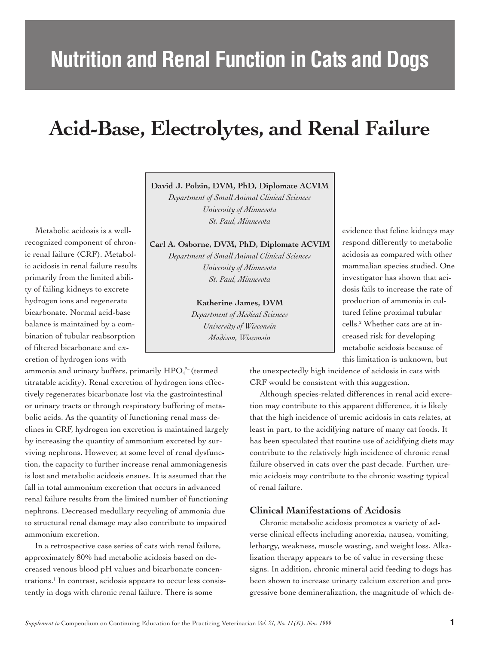# **Nutrition and Renal Function in Cats and Dogs**

# **Acid-Base, Electrolytes, and Renal Failure**

Metabolic acidosis is a wellrecognized component of chronic renal failure (CRF). Metabolic acidosis in renal failure results primarily from the limited ability of failing kidneys to excrete hydrogen ions and regenerate bicarbonate. Normal acid-base balance is maintained by a combination of tubular reabsorption of filtered bicarbonate and excretion of hydrogen ions with

ammonia and urinary buffers, primarily  $\rm{HPO_4^{2-}}$ (termed titratable acidity). Renal excretion of hydrogen ions effectively regenerates bicarbonate lost via the gastrointestinal or urinary tracts or through respiratory buffering of metabolic acids. As the quantity of functioning renal mass declines in CRF, hydrogen ion excretion is maintained largely by increasing the quantity of ammonium excreted by surviving nephrons. However, at some level of renal dysfunction, the capacity to further increase renal ammoniagenesis is lost and metabolic acidosis ensues. It is assumed that the fall in total ammonium excretion that occurs in advanced renal failure results from the limited number of functioning nephrons. Decreased medullary recycling of ammonia due to structural renal damage may also contribute to impaired ammonium excretion.

In a retrospective case series of cats with renal failure, approximately 80% had metabolic acidosis based on decreased venous blood pH values and bicarbonate concentrations.<sup>1</sup> In contrast, acidosis appears to occur less consistently in dogs with chronic renal failure. There is some

**David J. Polzin, DVM, PhD, Diplomate ACVIM**

*Department of Small Animal Clinical Sciences University of Minnesota St. Paul, Minnesota*

**Carl A. Osborne, DVM, PhD, Diplomate ACVIM**

*Department of Small Animal Clinical Sciences University of Minnesota St. Paul, Minnesota*

> **Katherine James, DVM** *Department of Medical Sciences University of Wisconsin Madison, Wisconsin*

evidence that feline kidneys may respond differently to metabolic acidosis as compared with other mammalian species studied. One investigator has shown that acidosis fails to increase the rate of production of ammonia in cultured feline proximal tubular cells.2 Whether cats are at increased risk for developing metabolic acidosis because of this limitation is unknown, but

the unexpectedly high incidence of acidosis in cats with CRF would be consistent with this suggestion.

Although species-related differences in renal acid excretion may contribute to this apparent difference, it is likely that the high incidence of uremic acidosis in cats relates, at least in part, to the acidifying nature of many cat foods. It has been speculated that routine use of acidifying diets may contribute to the relatively high incidence of chronic renal failure observed in cats over the past decade. Further, uremic acidosis may contribute to the chronic wasting typical of renal failure.

### **Clinical Manifestations of Acidosis**

Chronic metabolic acidosis promotes a variety of adverse clinical effects including anorexia, nausea, vomiting, lethargy, weakness, muscle wasting, and weight loss. Alkalization therapy appears to be of value in reversing these signs. In addition, chronic mineral acid feeding to dogs has been shown to increase urinary calcium excretion and progressive bone demineralization, the magnitude of which de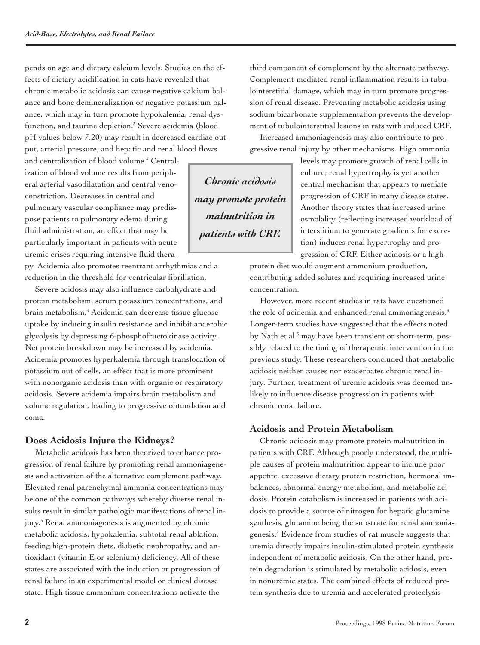pends on age and dietary calcium levels. Studies on the effects of dietary acidification in cats have revealed that chronic metabolic acidosis can cause negative calcium balance and bone demineralization or negative potassium balance, which may in turn promote hypokalemia, renal dysfunction, and taurine depletion.<sup>3</sup> Severe acidemia (blood pH values below 7.20) may result in decreased cardiac output, arterial pressure, and hepatic and renal blood flows

and centralization of blood volume.4 Centralization of blood volume results from peripheral arterial vasodilatation and central venoconstriction. Decreases in central and pulmonary vascular compliance may predispose patients to pulmonary edema during fluid administration, an effect that may be particularly important in patients with acute uremic crises requiring intensive fluid thera-

py. Acidemia also promotes reentrant arrhythmias and a reduction in the threshold for ventricular fibrillation.

Severe acidosis may also influence carbohydrate and protein metabolism, serum potassium concentrations, and brain metabolism.4 Acidemia can decrease tissue glucose uptake by inducing insulin resistance and inhibit anaerobic glycolysis by depressing 6-phosphofructokinase activity. Net protein breakdown may be increased by acidemia. Acidemia promotes hyperkalemia through translocation of potassium out of cells, an effect that is more prominent with nonorganic acidosis than with organic or respiratory acidosis. Severe acidemia impairs brain metabolism and volume regulation, leading to progressive obtundation and coma.

# **Does Acidosis Injure the Kidneys?**

Metabolic acidosis has been theorized to enhance progression of renal failure by promoting renal ammoniagenesis and activation of the alternative complement pathway. Elevated renal parenchymal ammonia concentrations may be one of the common pathways whereby diverse renal insults result in similar pathologic manifestations of renal injury.5 Renal ammoniagenesis is augmented by chronic metabolic acidosis, hypokalemia, subtotal renal ablation, feeding high-protein diets, diabetic nephropathy, and antioxidant (vitamin E or selenium) deficiency. All of these states are associated with the induction or progression of renal failure in an experimental model or clinical disease state. High tissue ammonium concentrations activate the

third component of complement by the alternate pathway. Complement-mediated renal inflammation results in tubulointerstitial damage, which may in turn promote progression of renal disease. Preventing metabolic acidosis using sodium bicarbonate supplementation prevents the development of tubulointerstitial lesions in rats with induced CRF.

Increased ammoniagenesis may also contribute to progressive renal injury by other mechanisms. High ammonia

*Chronic acidosis may promote protein malnutrition in patients with CRF.*

levels may promote growth of renal cells in culture; renal hypertrophy is yet another central mechanism that appears to mediate progression of CRF in many disease states. Another theory states that increased urine osmolality (reflecting increased workload of interstitium to generate gradients for excretion) induces renal hypertrophy and progression of CRF. Either acidosis or a high-

protein diet would augment ammonium production, contributing added solutes and requiring increased urine concentration.

However, more recent studies in rats have questioned the role of acidemia and enhanced renal ammoniagenesis.<sup>6</sup> Longer-term studies have suggested that the effects noted by Nath et al.<sup>5</sup> may have been transient or short-term, possibly related to the timing of therapeutic intervention in the previous study. These researchers concluded that metabolic acidosis neither causes nor exacerbates chronic renal injury. Further, treatment of uremic acidosis was deemed unlikely to influence disease progression in patients with chronic renal failure.

# **Acidosis and Protein Metabolism**

Chronic acidosis may promote protein malnutrition in patients with CRF. Although poorly understood, the multiple causes of protein malnutrition appear to include poor appetite, excessive dietary protein restriction, hormonal imbalances, abnormal energy metabolism, and metabolic acidosis. Protein catabolism is increased in patients with acidosis to provide a source of nitrogen for hepatic glutamine synthesis, glutamine being the substrate for renal ammoniagenesis.7 Evidence from studies of rat muscle suggests that uremia directly impairs insulin-stimulated protein synthesis independent of metabolic acidosis. On the other hand, protein degradation is stimulated by metabolic acidosis, even in nonuremic states. The combined effects of reduced protein synthesis due to uremia and accelerated proteolysis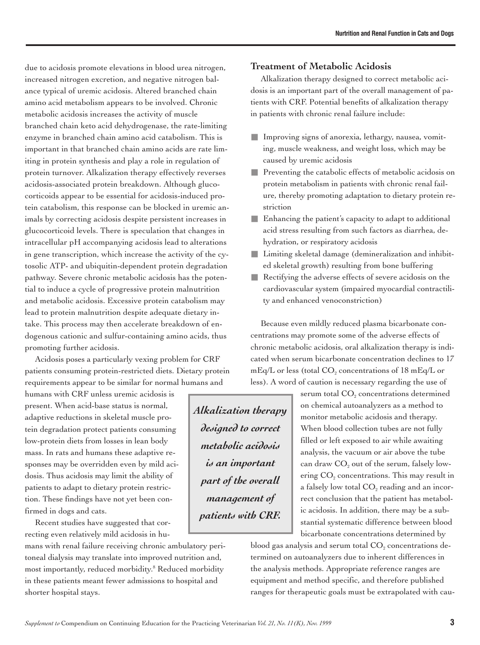due to acidosis promote elevations in blood urea nitrogen, increased nitrogen excretion, and negative nitrogen balance typical of uremic acidosis. Altered branched chain amino acid metabolism appears to be involved. Chronic metabolic acidosis increases the activity of muscle branched chain keto acid dehydrogenase, the rate-limiting enzyme in branched chain amino acid catabolism. This is important in that branched chain amino acids are rate limiting in protein synthesis and play a role in regulation of protein turnover. Alkalization therapy effectively reverses acidosis-associated protein breakdown. Although glucocorticoids appear to be essential for acidosis-induced protein catabolism, this response can be blocked in uremic animals by correcting acidosis despite persistent increases in glucocorticoid levels. There is speculation that changes in intracellular pH accompanying acidosis lead to alterations in gene transcription, which increase the activity of the cytosolic ATP- and ubiquitin-dependent protein degradation pathway. Severe chronic metabolic acidosis has the potential to induce a cycle of progressive protein malnutrition and metabolic acidosis. Excessive protein catabolism may lead to protein malnutrition despite adequate dietary intake. This process may then accelerate breakdown of endogenous cationic and sulfur-containing amino acids, thus promoting further acidosis.

Acidosis poses a particularly vexing problem for CRF patients consuming protein-restricted diets. Dietary protein requirements appear to be similar for normal humans and

humans with CRF unless uremic acidosis is present. When acid-base status is normal, adaptive reductions in skeletal muscle protein degradation protect patients consuming low-protein diets from losses in lean body mass. In rats and humans these adaptive responses may be overridden even by mild acidosis. Thus acidosis may limit the ability of patients to adapt to dietary protein restriction. These findings have not yet been confirmed in dogs and cats.

Recent studies have suggested that correcting even relatively mild acidosis in hu-

mans with renal failure receiving chronic ambulatory peritoneal dialysis may translate into improved nutrition and, most importantly, reduced morbidity.<sup>8</sup> Reduced morbidity in these patients meant fewer admissions to hospital and shorter hospital stays.

## **Treatment of Metabolic Acidosis**

Alkalization therapy designed to correct metabolic acidosis is an important part of the overall management of patients with CRF. Potential benefits of alkalization therapy in patients with chronic renal failure include:

- Improving signs of anorexia, lethargy, nausea, vomiting, muscle weakness, and weight loss, which may be caused by uremic acidosis
- Preventing the catabolic effects of metabolic acidosis on protein metabolism in patients with chronic renal failure, thereby promoting adaptation to dietary protein restriction
- Enhancing the patient's capacity to adapt to additional acid stress resulting from such factors as diarrhea, dehydration, or respiratory acidosis
- Limiting skeletal damage (demineralization and inhibited skeletal growth) resulting from bone buffering
- Rectifying the adverse effects of severe acidosis on the cardiovascular system (impaired myocardial contractility and enhanced venoconstriction)

Because even mildly reduced plasma bicarbonate concentrations may promote some of the adverse effects of chronic metabolic acidosis, oral alkalization therapy is indicated when serum bicarbonate concentration declines to 17 mEq/L or less (total  $CO<sub>2</sub>$  concentrations of 18 mEq/L or less). A word of caution is necessary regarding the use of

> serum total CO<sub>2</sub> concentrations determined on chemical autoanalyzers as a method to monitor metabolic acidosis and therapy. When blood collection tubes are not fully filled or left exposed to air while awaiting analysis, the vacuum or air above the tube can draw  $CO<sub>2</sub>$  out of the serum, falsely lowering  $CO<sub>2</sub>$  concentrations. This may result in a falsely low total  $CO<sub>2</sub>$  reading and an incorrect conclusion that the patient has metabolic acidosis. In addition, there may be a substantial systematic difference between blood bicarbonate concentrations determined by

blood gas analysis and serum total  $CO<sub>2</sub>$  concentrations determined on autoanalyzers due to inherent differences in the analysis methods. Appropriate reference ranges are equipment and method specific, and therefore published ranges for therapeutic goals must be extrapolated with cau-

*Alkalization therapy designed to correct metabolic acidosis is an important part of the overall management of patients with CRF.*